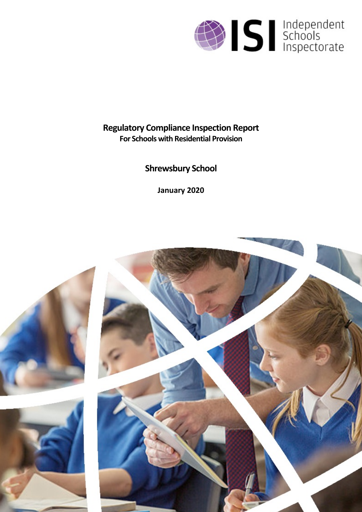

# **Regulatory Compliance Inspection Report For Schools with Residential Provision**

**Shrewsbury School**

**January 2020**

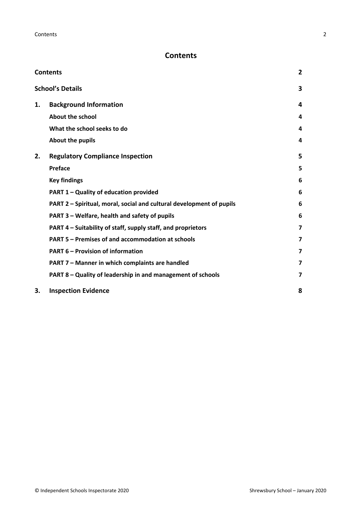## <span id="page-1-0"></span>**Contents**

| <b>Contents</b> |                                                                      |   |
|-----------------|----------------------------------------------------------------------|---|
|                 | <b>School's Details</b>                                              | 3 |
| 1.              | <b>Background Information</b>                                        | 4 |
|                 | <b>About the school</b>                                              | 4 |
|                 | What the school seeks to do                                          | 4 |
|                 | About the pupils                                                     | 4 |
| 2.              | <b>Regulatory Compliance Inspection</b>                              | 5 |
|                 | Preface                                                              | 5 |
|                 | <b>Key findings</b>                                                  | 6 |
|                 | PART 1 - Quality of education provided                               | 6 |
|                 | PART 2 - Spiritual, moral, social and cultural development of pupils | 6 |
|                 | PART 3 – Welfare, health and safety of pupils                        | 6 |
|                 | PART 4 – Suitability of staff, supply staff, and proprietors         | 7 |
|                 | PART 5 - Premises of and accommodation at schools                    | 7 |
|                 | <b>PART 6 - Provision of information</b>                             | 7 |
|                 | PART 7 - Manner in which complaints are handled                      | 7 |
|                 | PART 8 - Quality of leadership in and management of schools          | 7 |
| 3.              | <b>Inspection Evidence</b>                                           | 8 |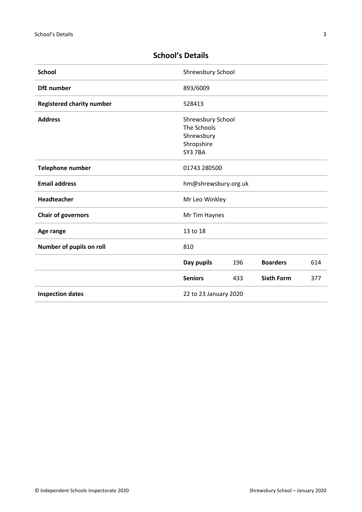| <b>School</b>                    | Shrewsbury School     |     |                   |     |
|----------------------------------|-----------------------|-----|-------------------|-----|
| <b>DfE</b> number                | 893/6009              |     |                   |     |
| <b>Registered charity number</b> | 528413                |     |                   |     |
| <b>Address</b>                   | Shrewsbury School     |     |                   |     |
|                                  | The Schools           |     |                   |     |
|                                  | Shrewsbury            |     |                   |     |
|                                  | Shropshire            |     |                   |     |
|                                  | SY3 7BA               |     |                   |     |
| <b>Telephone number</b>          | 01743 280500          |     |                   |     |
| <b>Email address</b>             | hm@shrewsbury.org.uk  |     |                   |     |
| <b>Headteacher</b>               | Mr Leo Winkley        |     |                   |     |
| <b>Chair of governors</b>        | Mr Tim Haynes         |     |                   |     |
| Age range                        | 13 to 18              |     |                   |     |
| Number of pupils on roll         | 810                   |     |                   |     |
|                                  | Day pupils            | 196 | <b>Boarders</b>   | 614 |
|                                  | <b>Seniors</b>        | 433 | <b>Sixth Form</b> | 377 |
| <b>Inspection dates</b>          | 22 to 23 January 2020 |     |                   |     |

## <span id="page-2-0"></span>**School's Details**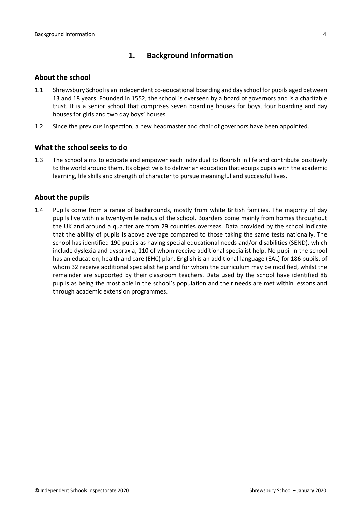### <span id="page-3-0"></span>**1. Background Information**

#### <span id="page-3-1"></span>**About the school**

- 1.1 Shrewsbury School is an independent co-educational boarding and day school for pupils aged between 13 and 18 years. Founded in 1552, the school is overseen by a board of governors and is a charitable trust. It is a senior school that comprises seven boarding houses for boys, four boarding and day houses for girls and two day boys' houses .
- 1.2 Since the previous inspection, a new headmaster and chair of governors have been appointed.

#### <span id="page-3-2"></span>**What the school seeks to do**

1.3 The school aims to educate and empower each individual to flourish in life and contribute positively to the world around them. Its objective isto deliver an education that equips pupils with the academic learning, life skills and strength of character to pursue meaningful and successful lives.

#### <span id="page-3-3"></span>**About the pupils**

1.4 Pupils come from a range of backgrounds, mostly from white British families. The majority of day pupils live within a twenty-mile radius of the school. Boarders come mainly from homes throughout the UK and around a quarter are from 29 countries overseas. Data provided by the school indicate that the ability of pupils is above average compared to those taking the same tests nationally. The school has identified 190 pupils as having special educational needs and/or disabilities (SEND), which include dyslexia and dyspraxia, 110 of whom receive additional specialist help. No pupil in the school has an education, health and care (EHC) plan. English is an additional language (EAL) for 186 pupils, of whom 32 receive additional specialist help and for whom the curriculum may be modified, whilst the remainder are supported by their classroom teachers. Data used by the school have identified 86 pupils as being the most able in the school's population and their needs are met within lessons and through academic extension programmes.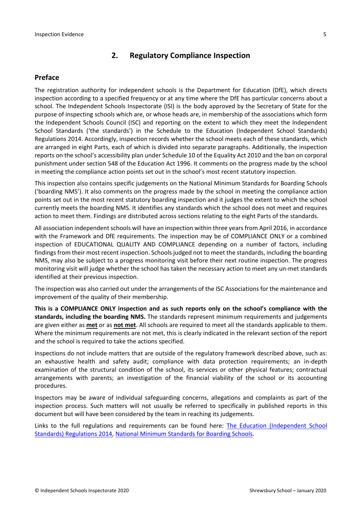## <span id="page-4-0"></span>**2. Regulatory Compliance Inspection**

#### <span id="page-4-1"></span>**Preface**

The registration authority for independent schools is the Department for Education (DfE), which directs inspection according to a specified frequency or at any time where the DfE has particular concerns about a school. The Independent Schools Inspectorate (ISI) is the body approved by the Secretary of State for the purpose of inspecting schools which are, or whose heads are, in membership of the associations which form the Independent Schools Council (ISC) and reporting on the extent to which they meet the Independent School Standards ('the standards') in the Schedule to the Education (Independent School Standards) Regulations 2014. Accordingly, inspection records whether the school meets each of these standards, which are arranged in eight Parts, each of which is divided into separate paragraphs. Additionally, the inspection reports on the school's accessibility plan under Schedule 10 of the Equality Act 2010 and the ban on corporal punishment under section 548 of the Education Act 1996. It comments on the progress made by the school in meeting the compliance action points set out in the school's most recent statutory inspection.

This inspection also contains specific judgements on the National Minimum Standards for Boarding Schools ('boarding NMS'). It also comments on the progress made by the school in meeting the compliance action points set out in the most recent statutory boarding inspection and it judges the extent to which the school currently meets the boarding NMS. It identifies any standards which the school does not meet and requires action to meet them. Findings are distributed across sections relating to the eight Parts of the standards.

All association independent schools will have an inspection within three yearsfrom April 2016, in accordance with the Framework and DfE requirements. The inspection may be of COMPLIANCE ONLY or a combined inspection of EDUCATIONAL QUALITY AND COMPLIANCE depending on a number of factors, including findings from their most recent inspection. Schools judged not to meet the standards, including the boarding NMS, may also be subject to a progress monitoring visit before their next routine inspection. The progress monitoring visit will judge whether the school has taken the necessary action to meet any un-met standards identified at their previous inspection.

The inspection was also carried out under the arrangements of the ISC Associations for the maintenance and improvement of the quality of their membership.

**This is a COMPLIANCE ONLY inspection and as such reports only on the school's compliance with the standards, including the boarding NMS.** The standards represent minimum requirements and judgements are given either as **met** or as **not met**. All schools are required to meet all the standards applicable to them. Where the minimum requirements are not met, this is clearly indicated in the relevant section of the report and the school is required to take the actions specified.

Inspections do not include matters that are outside of the regulatory framework described above, such as: an exhaustive health and safety audit; compliance with data protection requirements; an in-depth examination of the structural condition of the school, its services or other physical features; contractual arrangements with parents; an investigation of the financial viability of the school or its accounting procedures.

Inspectors may be aware of individual safeguarding concerns, allegations and complaints as part of the inspection process. Such matters will not usually be referred to specifically in published reports in this document but will have been considered by the team in reaching its judgements.

Links to the full regulations and requirements can be found here: The Education [\(Independent](http://www.legislation.gov.uk/uksi/2014/3283/contents/made) School Standards) [Regulations](http://www.legislation.gov.uk/uksi/2014/3283/contents/made) 2014, National Minimum [Standards](https://www.gov.uk/government/uploads/system/uploads/attachment_data/file/416186/20150319_nms_bs_standards.pdf) for Boarding Schools.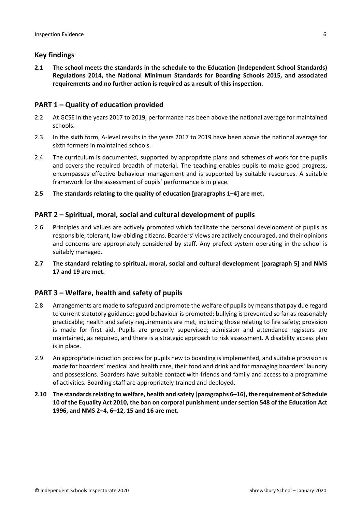#### <span id="page-5-0"></span>**Key findings**

**2.1 The school meets the standards in the schedule to the Education (Independent School Standards) Regulations 2014, the National Minimum Standards for Boarding Schools 2015, and associated requirements and no further action is required as a result of this inspection.**

#### <span id="page-5-1"></span>**PART 1 – Quality of education provided**

- 2.2 At GCSE in the years 2017 to 2019, performance has been above the national average for maintained schools.
- 2.3 In the sixth form, A-level results in the years 2017 to 2019 have been above the national average for sixth formers in maintained schools.
- 2.4 The curriculum is documented, supported by appropriate plans and schemes of work for the pupils and covers the required breadth of material. The teaching enables pupils to make good progress, encompasses effective behaviour management and is supported by suitable resources. A suitable framework for the assessment of pupils' performance is in place.
- **2.5 The standards relating to the quality of education [paragraphs 1–4] are met.**

#### <span id="page-5-2"></span>**PART 2 – Spiritual, moral, social and cultural development of pupils**

- 2.6 Principles and values are actively promoted which facilitate the personal development of pupils as responsible, tolerant, law-abiding citizens. Boarders' views are actively encouraged, and their opinions and concerns are appropriately considered by staff. Any prefect system operating in the school is suitably managed.
- **2.7 The standard relating to spiritual, moral, social and cultural development [paragraph 5] and NMS 17 and 19 are met.**

#### <span id="page-5-3"></span>**PART 3 – Welfare, health and safety of pupils**

- 2.8 Arrangements are made to safeguard and promote the welfare of pupils by means that pay due regard to current statutory guidance; good behaviour is promoted; bullying is prevented so far as reasonably practicable; health and safety requirements are met, including those relating to fire safety; provision is made for first aid. Pupils are properly supervised; admission and attendance registers are maintained, as required, and there is a strategic approach to risk assessment. A disability access plan is in place.
- 2.9 An appropriate induction process for pupils new to boarding is implemented, and suitable provision is made for boarders' medical and health care, their food and drink and for managing boarders' laundry and possessions. Boarders have suitable contact with friends and family and access to a programme of activities. Boarding staff are appropriately trained and deployed.
- **2.10 The standardsrelating to welfare, health and safety [paragraphs 6–16], the requirement of Schedule 10 of the Equality Act 2010, the ban on corporal punishment under section 548 of the Education Act 1996, and NMS 2–4, 6–12, 15 and 16 are met.**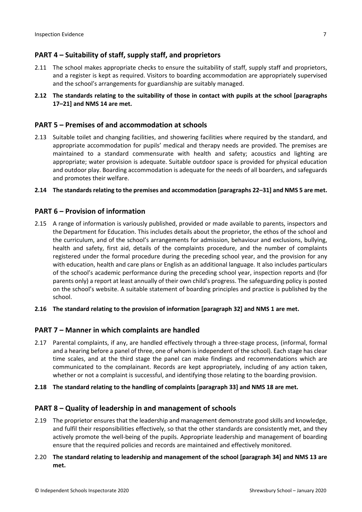## <span id="page-6-0"></span>**PART 4 – Suitability of staff, supply staff, and proprietors**

- 2.11 The school makes appropriate checks to ensure the suitability of staff, supply staff and proprietors, and a register is kept as required. Visitors to boarding accommodation are appropriately supervised and the school's arrangements for guardianship are suitably managed.
- **2.12 The standards relating to the suitability of those in contact with pupils at the school [paragraphs 17–21] and NMS 14 are met.**

#### <span id="page-6-1"></span>**PART 5 – Premises of and accommodation at schools**

2.13 Suitable toilet and changing facilities, and showering facilities where required by the standard, and appropriate accommodation for pupils' medical and therapy needs are provided. The premises are maintained to a standard commensurate with health and safety; acoustics and lighting are appropriate; water provision is adequate. Suitable outdoor space is provided for physical education and outdoor play. Boarding accommodation is adequate for the needs of all boarders, and safeguards and promotes their welfare.

#### **2.14 The standardsrelating to the premises and accommodation [paragraphs 22–31] and NMS 5 are met.**

#### <span id="page-6-2"></span>**PART 6 – Provision of information**

- 2.15 A range of information is variously published, provided or made available to parents, inspectors and the Department for Education. This includes details about the proprietor, the ethos of the school and the curriculum, and of the school's arrangements for admission, behaviour and exclusions, bullying, health and safety, first aid, details of the complaints procedure, and the number of complaints registered under the formal procedure during the preceding school year, and the provision for any with education, health and care plans or English as an additional language. It also includes particulars of the school's academic performance during the preceding school year, inspection reports and (for parents only) a report at least annually of their own child's progress. The safeguarding policy is posted on the school's website. A suitable statement of boarding principles and practice is published by the school.
- **2.16 The standard relating to the provision of information [paragraph 32] and NMS 1 are met.**

#### <span id="page-6-3"></span>**PART 7 – Manner in which complaints are handled**

- 2.17 Parental complaints, if any, are handled effectively through a three-stage process, (informal, formal and a hearing before a panel of three, one of whom is independent of the school). Each stage has clear time scales, and at the third stage the panel can make findings and recommendations which are communicated to the complainant. Records are kept appropriately, including of any action taken, whether or not a complaint is successful, and identifying those relating to the boarding provision.
- **2.18 The standard relating to the handling of complaints [paragraph 33] and NMS 18 are met.**

#### <span id="page-6-4"></span>**PART 8 – Quality of leadership in and management of schools**

- 2.19 The proprietor ensures that the leadership and management demonstrate good skills and knowledge, and fulfil their responsibilities effectively, so that the other standards are consistently met, and they actively promote the well-being of the pupils. Appropriate leadership and management of boarding ensure that the required policies and records are maintained and effectively monitored.
- 2.20 **The standard relating to leadership and management of the school [paragraph 34] and NMS 13 are met.**